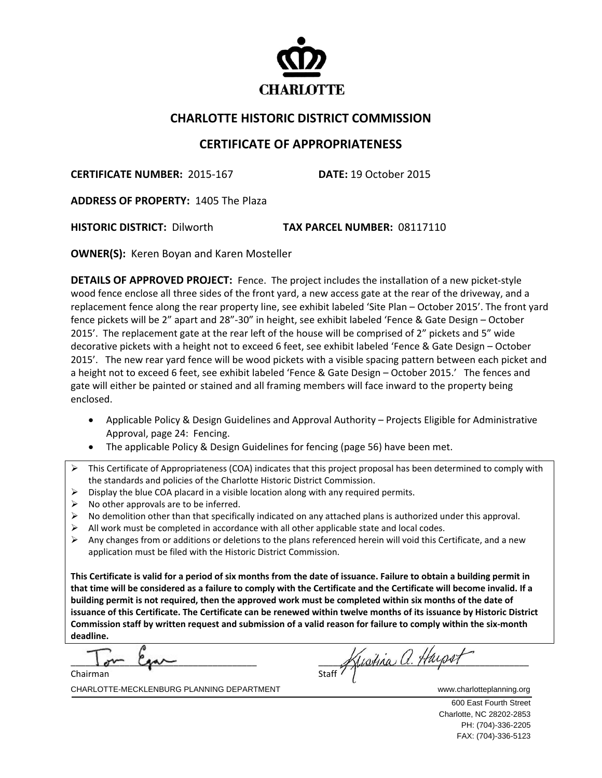

## **CHARLOTTE HISTORIC DISTRICT COMMISSION**

## **CERTIFICATE OF APPROPRIATENESS**

**CERTIFICATE NUMBER:** 2015‐167 **DATE:** 19 October 2015

**ADDRESS OF PROPERTY:** 1405 The Plaza

**HISTORIC DISTRICT:** Dilworth **TAX PARCEL NUMBER:** 08117110

**OWNER(S):** Keren Boyan and Karen Mosteller

**DETAILS OF APPROVED PROJECT:** Fence. The project includes the installation of a new picket‐style wood fence enclose all three sides of the front yard, a new access gate at the rear of the driveway, and a replacement fence along the rear property line, see exhibit labeled 'Site Plan – October 2015'. The front yard fence pickets will be 2" apart and 28"‐30" in height, see exhibit labeled 'Fence & Gate Design – October 2015'. The replacement gate at the rear left of the house will be comprised of 2" pickets and 5" wide decorative pickets with a height not to exceed 6 feet, see exhibit labeled 'Fence & Gate Design – October 2015'. The new rear yard fence will be wood pickets with a visible spacing pattern between each picket and a height not to exceed 6 feet, see exhibit labeled 'Fence & Gate Design – October 2015.' The fences and gate will either be painted or stained and all framing members will face inward to the property being enclosed.

- Applicable Policy & Design Guidelines and Approval Authority Projects Eligible for Administrative Approval, page 24: Fencing.
- The applicable Policy & Design Guidelines for fencing (page 56) have been met.
- $\triangleright$  This Certificate of Appropriateness (COA) indicates that this project proposal has been determined to comply with the standards and policies of the Charlotte Historic District Commission.
- $\triangleright$  Display the blue COA placard in a visible location along with any required permits.
- $\triangleright$  No other approvals are to be inferred.
- $\triangleright$  No demolition other than that specifically indicated on any attached plans is authorized under this approval.
- $\triangleright$  All work must be completed in accordance with all other applicable state and local codes.
- $\triangleright$  Any changes from or additions or deletions to the plans referenced herein will void this Certificate, and a new application must be filed with the Historic District Commission.

This Certificate is valid for a period of six months from the date of issuance. Failure to obtain a building permit in that time will be considered as a failure to comply with the Certificate and the Certificate will become invalid. If a building permit is not required, then the approved work must be completed within six months of the date of issuance of this Certificate. The Certificate can be renewed within twelve months of its issuance by Historic District Commission staff by written request and submission of a valid reason for failure to comply within the six-month **deadline.**

 $\overline{\phantom{a}}$ Chairman

statt Kustina a. Haysen

CHARLOTTE-MECKLENBURG PLANNING DEPARTMENT WWW.charlotteplanning.org

 600 East Fourth Street Charlotte, NC 28202-2853 PH: (704)-336-2205 FAX: (704)-336-5123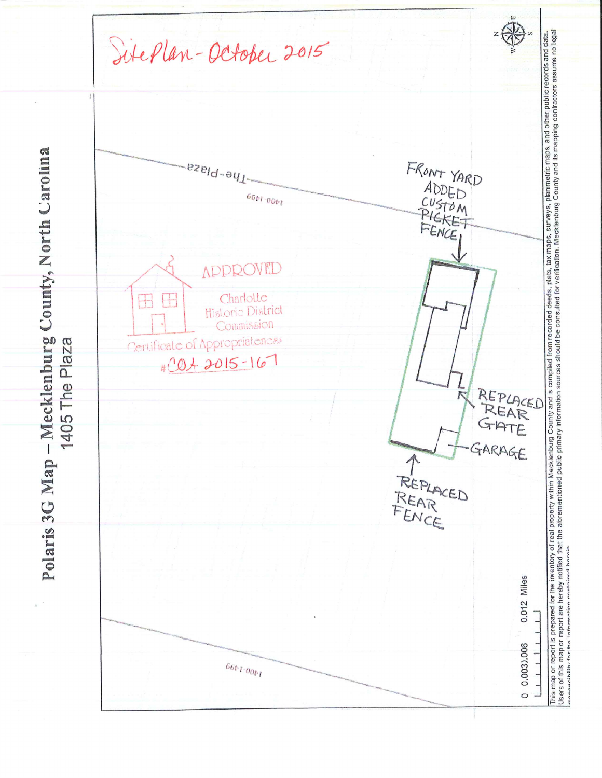